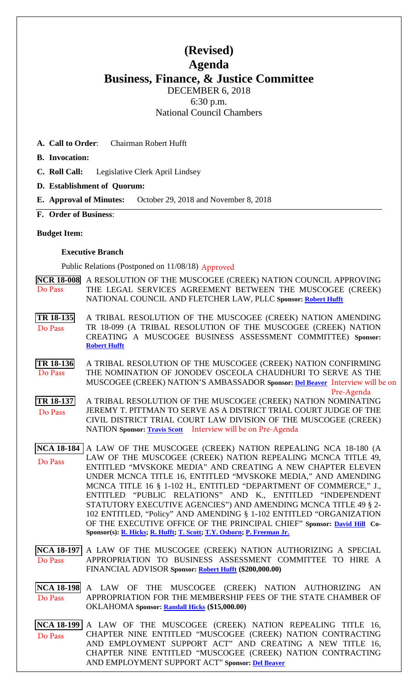# **(Revised) Agenda Business, Finance, & Justice Committee** DECEMBER 6, 2018 6:30 p.m.

National Council Chambers

**A. Call to Order**: Chairman Robert Hufft

**B. Invocation:** 

- **C. Roll Call:** Legislative Clerk April Lindsey
- **D. Establishment of Quorum:**
- **E. Approval of Minutes:** October 29, 2018 and November 8, 2018
- **F. Order of Business**:

### **Budget Item:**

### **Executive Branch**

Public Relations (Postponed on 11/08/18) Approved

|         | NCR 18-008 A RESOLUTION OF THE MUSCOGEE (CREEK) NATION COUNCIL APPROVING |
|---------|--------------------------------------------------------------------------|
| Do Pass | THE LEGAL SERVICES AGREEMENT BETWEEN THE MUSCOGEE (CREEK)                |
|         | NATIONAL COUNCIL AND FLETCHER LAW, PLLC Sponsor: Robert Hufft            |

**[TR 18-135](bills/18-135.pdf)** A TRIBAL RESOLUTION OF THE MUSCOGEE (CREEK) NATION AMENDING TR 18-099 (A TRIBAL RESOLUTION OF THE MUSCOGEE (CREEK) NATION CREATING A MUSCOGEE BUSINESS ASSESSMENT COMMITTEE) **Sponsor: [Robert Hufft](mailto:rhufft@mcn-nsn.gov)** Do Pass

**[TR 18-136](bills/18-136.pdf)** A TRIBAL RESOLUTION OF THE MUSCOGEE (CREEK) NATION CONFIRMING THE NOMINATION OF JONODEV OSCEOLA CHAUDHURI TO SERVE AS THE MUSCOGEE (CREEK) NATION'S AMBASSADOR **Sponsor: [Del Beaver](mailto:dbeaver@mcn-nsn.gov)** Interview will be on Do Pass Pre-Agenda

**[TR 18-137](bills/18-137.pdf)** A TRIBAL RESOLUTION OF THE MUSCOGEE (CREEK) NATION NOMINATING JEREMY T. PITTMAN TO SERVE AS A DISTRICT TRIAL COURT JUDGE OF THE CIVIL DISTRICT TRIAL COURT LAW DIVISION OF THE MUSCOGEE (CREEK) NATION **Sponsor: [Travis Scott](mailto:tscott@mcn-nsn.gov)** Interview will be on Pre-AgendaDo Pass

**[NCA 18-184](bills/NCA18-184.pdf)** A LAW OF THE MUSCOGEE (CREEK) NATION REPEALING NCA 18-180 (A LAW OF THE MUSCOGEE (CREEK) NATION REPEALING MCNCA TITLE 49, ENTITLED "MVSKOKE MEDIA" AND CREATING A NEW CHAPTER ELEVEN UNDER MCNCA TITLE 16, ENTITLED "MVSKOKE MEDIA," AND AMENDING MCNCA TITLE 16 § 1-102 H., ENTITLED "DEPARTMENT OF COMMERCE," J., ENTITLED "PUBLIC RELATIONS" AND K., ENTITLED "INDEPENDENT STATUTORY EXECUTIVE AGENCIES") AND AMENDING MCNCA TITLE 49 § 2- 102 ENTITLED, "Policy" AND AMENDING § 1-102 ENTITLED "ORGANIZATION OF THE EXECUTIVE OFFICE OF THE PRINCIPAL CHIEF" **Sponsor: [David Hill](mailto:dhill@mcn-nsn.gov) Co-Sponsor(s): [R. Hicks;](mailto:rhicks@mcn-nsn.gov) [R. Hufft;](mailto:rhufft@mcn-nsn.gov) [T. Scott;](mailto:tscott@mcn-nsn.gov) [T.Y. Osborn;](mailto:tosborn@mcn-nsn.gov) [P. Freeman Jr.](mailto:Pfreeman@mcn-nsn.gov)** Do Pass

**[NCA 18-197](bills/NCA18-197.pdf)** A LAW OF THE MUSCOGEE (CREEK) NATION AUTHORIZING A SPECIAL APPROPRIATION TO BUSINESS ASSESSMENT COMMITTEE TO HIRE A FINANCIAL ADVISOR **Sponsor: [Robert Hufft](mailto:rhufft@mcn-nsn.gov) (\$200,000.00)**  Do Pass

**[NCA 18-198](bills/NCA18-198.pdf)** A LAW OF THE MUSCOGEE (CREEK) NATION AUTHORIZING AN APPROPRIATION FOR THE MEMBERSHIP FEES OF THE STATE CHAMBER OF OKLAHOMA **Sponsor: [Randall Hicks](mailto:rhicks@mcn-nsn.gov) (\$15,000.00)**  Do Pass

**[NCA 18-199](bills/NCA18-199.pdf)** A LAW OF THE MUSCOGEE (CREEK) NATION REPEALING TITLE 16, CHAPTER NINE ENTITLED "MUSCOGEE (CREEK) NATION CONTRACTING AND EMPLOYMENT SUPPORT ACT" AND CREATING A NEW TITLE 16, CHAPTER NINE ENTITLED "MUSCOGEE (CREEK) NATION CONTRACTING AND EMPLOYMENT SUPPORT ACT" **Sponsor: [Del Beaver](mailto:dbeaver@mcn-nsn.gov)** Do Pass